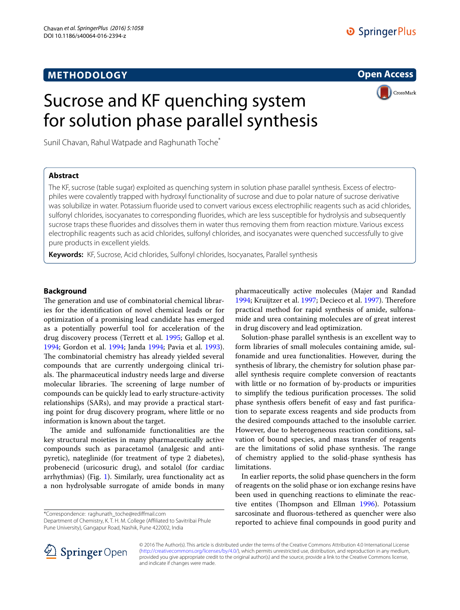# **METHODOLOGY**

**Open Access**

**CrossMark** 

# Sucrose and KF quenching system for solution phase parallel synthesis

Sunil Chavan, Rahul Watpade and Raghunath Toche<sup>\*</sup>

## **Abstract**

The KF, sucrose (table sugar) exploited as quenching system in solution phase parallel synthesis. Excess of electrophiles were covalently trapped with hydroxyl functionality of sucrose and due to polar nature of sucrose derivative was solubilize in water. Potassium fluoride used to convert various excess electrophilic reagents such as acid chlorides, sulfonyl chlorides, isocyanates to corresponding fluorides, which are less susceptible for hydrolysis and subsequently sucrose traps these fluorides and dissolves them in water thus removing them from reaction mixture. Various excess electrophilic reagents such as acid chlorides, sulfonyl chlorides, and isocyanates were quenched successfully to give pure products in excellent yields.

**Keywords:** KF, Sucrose, Acid chlorides, Sulfonyl chlorides, Isocyanates, Parallel synthesis

## **Background**

The generation and use of combinatorial chemical libraries for the identification of novel chemical leads or for optimization of a promising lead candidate has emerged as a potentially powerful tool for acceleration of the drug discovery process (Terrett et al. [1995;](#page-6-0) Gallop et al. [1994](#page-5-0); Gordon et al. [1994](#page-5-1); Janda [1994;](#page-5-2) Pavia et al. [1993](#page-6-1)). The combinatorial chemistry has already yielded several compounds that are currently undergoing clinical trials. The pharmaceutical industry needs large and diverse molecular libraries. The screening of large number of compounds can be quickly lead to early structure-activity relationships (SARs), and may provide a practical starting point for drug discovery program, where little or no information is known about the target.

The amide and sulfonamide functionalities are the key structural moieties in many pharmaceutically active compounds such as paracetamol (analgesic and antipyretic), nateglinide (for treatment of type 2 diabetes), probenecid (uricosuric drug), and sotalol (for cardiac arrhythmias) (Fig. [1](#page-1-0)). Similarly, urea functionality act as a non hydrolysable surrogate of amide bonds in many

\*Correspondence: raghunath\_toche@rediffmail.com Department of Chemistry, K. T. H. M. College (Affiliated to Savitribai Phule Pune University), Gangapur Road, Nashik, Pune 422002, India

pharmaceutically active molecules (Majer and Randad [1994](#page-5-3); Kruijtzer et al. [1997;](#page-5-4) Decieco et al. [1997](#page-5-5)). Therefore practical method for rapid synthesis of amide, sulfonamide and urea containing molecules are of great interest in drug discovery and lead optimization.

Solution-phase parallel synthesis is an excellent way to form libraries of small molecules containing amide, sulfonamide and urea functionalities. However, during the synthesis of library, the chemistry for solution phase parallel synthesis require complete conversion of reactants with little or no formation of by-products or impurities to simplify the tedious purification processes. The solid phase synthesis offers benefit of easy and fast purification to separate excess reagents and side products from the desired compounds attached to the insoluble carrier. However, due to heterogeneous reaction conditions, salvation of bound species, and mass transfer of reagents are the limitations of solid phase synthesis. The range of chemistry applied to the solid-phase synthesis has limitations.

In earlier reports, the solid phase quenchers in the form of reagents on the solid phase or ion exchange resins have been used in quenching reactions to eliminate the reactive entites (Thompson and Ellman [1996](#page-6-2)). Potassium sarcosinate and fluorous-tethered as quencher were also reported to achieve final compounds in good purity and



© 2016 The Author(s). This article is distributed under the terms of the Creative Commons Attribution 4.0 International License [\(http://creativecommons.org/licenses/by/4.0/\)](http://creativecommons.org/licenses/by/4.0/), which permits unrestricted use, distribution, and reproduction in any medium, provided you give appropriate credit to the original author(s) and the source, provide a link to the Creative Commons license, and indicate if changes were made.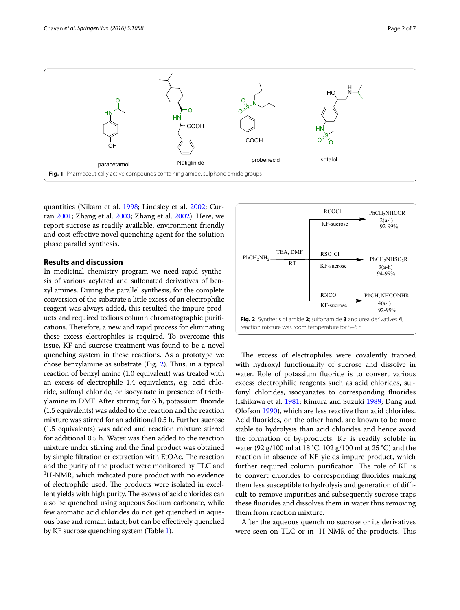

<span id="page-1-0"></span>quantities (Nikam et al. [1998;](#page-6-3) Lindsley et al. [2002;](#page-5-6) Curran [2001;](#page-5-7) Zhang et al. [2003](#page-6-4); Zhang et al. [2002\)](#page-6-5). Here, we report sucrose as readily available, environment friendly and cost effective novel quenching agent for the solution phase parallel synthesis.

## **Results and discussion**

In medicinal chemistry program we need rapid synthesis of various acylated and sulfonated derivatives of benzyl amines. During the parallel synthesis, for the complete conversion of the substrate a little excess of an electrophilic reagent was always added, this resulted the impure products and required tedious column chromatographic purifications. Therefore, a new and rapid process for eliminating these excess electrophiles is required. To overcome this issue, KF and sucrose treatment was found to be a novel quenching system in these reactions. As a prototype we chose benzylamine as substrate (Fig. [2\)](#page-1-1). Thus, in a typical reaction of benzyl amine (1.0 equivalent) was treated with an excess of electrophile 1.4 equivalents, e.g. acid chloride, sulfonyl chloride, or isocyanate in presence of triethylamine in DMF. After stirring for 6 h, potassium fluoride (1.5 equivalents) was added to the reaction and the reaction mixture was stirred for an additional 0.5 h. Further sucrose (1.5 equivalents) was added and reaction mixture stirred for additional 0.5 h. Water was then added to the reaction mixture under stirring and the final product was obtained by simple filtration or extraction with EtOAc. The reaction and the purity of the product were monitored by TLC and <sup>1</sup>H-NMR, which indicated pure product with no evidence of electrophile used. The products were isolated in excellent yields with high purity. The excess of acid chlorides can also be quenched using aqueous Sodium carbonate, while few aromatic acid chlorides do not get quenched in aqueous base and remain intact; but can be effectively quenched by KF sucrose quenching system (Table [1\)](#page-2-0).



<span id="page-1-1"></span>The excess of electrophiles were covalently trapped with hydroxyl functionality of sucrose and dissolve in water. Role of potassium fluoride is to convert various excess electrophilic reagents such as acid chlorides, sulfonyl chlorides, isocyanates to corresponding fluorides (Ishikawa et al. [1981](#page-5-8); Kimura and Suzuki [1989](#page-5-9); Dang and Olofson [1990](#page-5-10)), which are less reactive than acid chlorides. Acid fluorides, on the other hand, are known to be more stable to hydrolysis than acid chlorides and hence avoid the formation of by-products. KF is readily soluble in water (92 g/100 ml at 18 °C, 102 g/100 ml at 25 °C) and the reaction in absence of KF yields impure product, which further required column purification. The role of KF is to convert chlorides to corresponding fluorides making them less susceptible to hydrolysis and generation of difficult-to-remove impurities and subsequently sucrose traps these fluorides and dissolves them in water thus removing them from reaction mixture.

After the aqueous quench no sucrose or its derivatives were seen on TLC or in  ${}^{1}H$  NMR of the products. This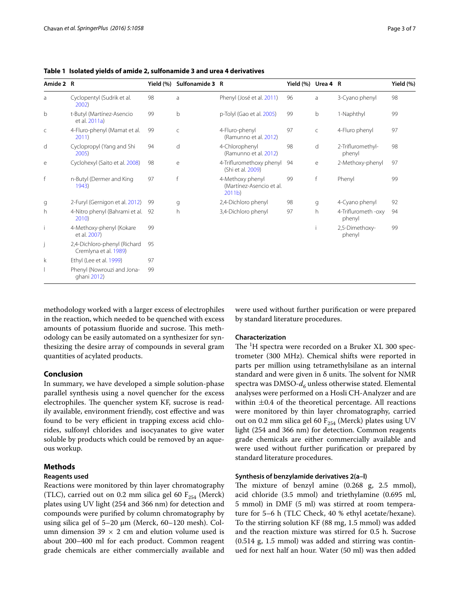<span id="page-2-0"></span>**Table 1 Isolated yields of amide 2, sulfonamide 3 and urea 4 derivatives**

| Amide 2 R |                                                       | Yield $(\%)$ | Sulfonamide 3 R |                                                                   | Yield (%) Urea 4 R |              |                               | Yield (%) |
|-----------|-------------------------------------------------------|--------------|-----------------|-------------------------------------------------------------------|--------------------|--------------|-------------------------------|-----------|
| a         | Cyclopentyl (Sudrik et al.<br>2002)                   | 98           | a               | Phenyl (José et al. 2011)                                         | 96                 | a            | 3-Cyano phenyl                | 98        |
| b         | t-Butyl (Martínez-Asencio<br>et al. 2011a)            | 99           | b               | p-Tolyl (Gao et al. 2005)                                         | 99                 | b            | 1-Naphthyl                    | 99        |
| C         | 4-Fluro-phenyl (Mamat et al.<br>2011)                 | 99           | $\mathsf{C}$    | 4-Fluro-phenyl<br>(Ramunno et al. 2012)                           | 97                 | $\mathsf{C}$ | 4-Fluro phenyl                | 97        |
| d         | Cyclopropyl (Yang and Shi<br>2005)                    | 94           | d               | 4-Chlorophenyl<br>(Ramunno et al. 2012)                           | 98                 | d            | 2-Trifluromethyl-<br>phenyl   | 98        |
| e         | Cyclohexyl (Saito et al. 2008)                        | 98           | e               | 4-Trifluromethoxy phenyl<br>(Shi et al. 2009)                     | 94                 | е            | 2-Methoxy-phenyl              | 97        |
| f         | n-Butyl (Dermer and King<br>1943)                     | 97           | f               | 4-Methoxy phenyl<br>(Martínez-Asencio et al.<br>2011 <sub>b</sub> | 99                 | f            | Phenyl                        | 99        |
| g         | 2-Furyl (Gernigon et al. 2012)                        | 99           | q               | 2,4-Dichloro phenyl                                               | 98                 | q            | 4-Cyano phenyl                | 92        |
| h         | 4-Nitro phenyl (Bahrami et al.<br>2010)               | 92           | h               | 3,4-Dichloro phenyl                                               | 97                 | h            | 4-Triflurometh -oxy<br>phenyl | 94        |
| İ         | 4-Methoxy-phenyl (Kokare<br>et al. 2007)              | 99           |                 |                                                                   |                    |              | 2,5-Dimethoxy-<br>phenyl      | 99        |
|           | 2,4-Dichloro-phenyl (Richard<br>Cremlyna et al. 1989) | 95           |                 |                                                                   |                    |              |                               |           |
| k         | Ethyl (Lee et al. 1999)                               | 97           |                 |                                                                   |                    |              |                               |           |
|           | Phenyl (Nowrouzi and Jona-<br>ghani 2012)             | 99           |                 |                                                                   |                    |              |                               |           |

methodology worked with a larger excess of electrophiles in the reaction, which needed to be quenched with excess amounts of potassium fluoride and sucrose. This methodology can be easily automated on a synthesizer for synthesizing the desire array of compounds in several gram quantities of acylated products.

## **Conclusion**

In summary, we have developed a simple solution-phase parallel synthesis using a novel quencher for the excess electrophiles. The quencher system KF, sucrose is readily available, environment friendly, cost effective and was found to be very efficient in trapping excess acid chlorides, sulfonyl chlorides and isocyanates to give water soluble by products which could be removed by an aqueous workup.

## **Methods**

#### **Reagents used**

Reactions were monitored by thin layer chromatography (TLC), carried out on 0.2 mm silica gel 60  $F_{254}$  (Merck) plates using UV light (254 and 366 nm) for detection and compounds were purified by column chromatography by using silica gel of 5–20 µm (Merck, 60–120 mesh). Column dimension 39  $\times$  2 cm and elution volume used is about 200–400 ml for each product. Common reagent grade chemicals are either commercially available and were used without further purification or were prepared by standard literature procedures.

#### **Characterization**

The <sup>1</sup>H spectra were recorded on a Bruker XL 300 spectrometer (300 MHz). Chemical shifts were reported in parts per million using tetramethylsilane as an internal standard and were given in  $\delta$  units. The solvent for NMR spectra was DMSO- $d_6$  unless otherwise stated. Elemental analyses were performed on a Hosli CH-Analyzer and are within  $\pm 0.4$  of the theoretical percentage. All reactions were monitored by thin layer chromatography, carried out on 0.2 mm silica gel 60  $F_{254}$  (Merck) plates using UV light (254 and 366 nm) for detection. Common reagents grade chemicals are either commercially available and were used without further purification or prepared by standard literature procedures.

## **Synthesis of benzylamide derivatives 2(a–l)**

The mixture of benzyl amine (0.268 g, 2.5 mmol), acid chloride (3.5 mmol) and triethylamine (0.695 ml, 5 mmol) in DMF (5 ml) was stirred at room temperature for 5–6 h (TLC Check, 40 % ethyl acetate/hexane). To the stirring solution KF (88 mg, 1.5 mmol) was added and the reaction mixture was stirred for 0.5 h. Sucrose  $(0.514 \text{ g}, 1.5 \text{ mmol})$  was added and stirring was continued for next half an hour. Water (50 ml) was then added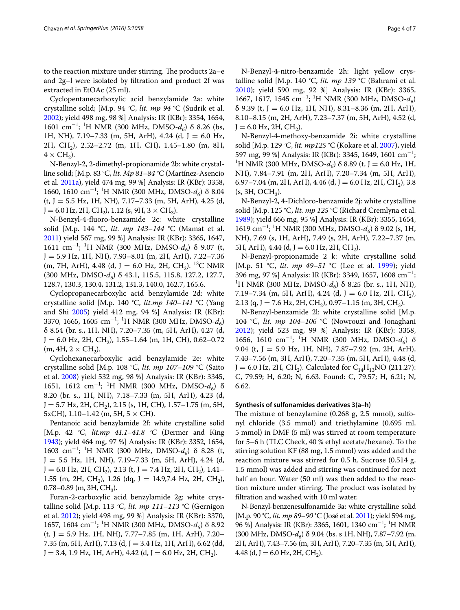to the reaction mixture under stirring. The products 2a–e and 2g–l were isolated by filtration and product 2f was extracted in EtOAc (25 ml).

Cyclopentanecarboxylic acid benzylamide 2a: white crystalline solid; [M.p. 94 °C, *lit. mp 94* °C (Sudrik et al. [2002](#page-6-6)); yield 498 mg, 98 %] Analysis: IR (KBr): 3354, 1654, 1601 cm<sup>−</sup><sup>1</sup> ; 1 H NMR (300 MHz, DMSO-*d6*) δ 8.26 (bs, 1H, NH), 7.19–7.33 (m, 5H, ArH), 4.24 (d, J = 6.0 Hz, 2H, CH2), 2.52–2.72 (m, 1H, CH), 1.45–1.80 (m, 8H,  $4 \times CH_2$ ).

N-Benzyl-2, 2-dimethyl-propionamide 2b: white crystalline solid; [M.p. 83 °C, *lit. Mp 81*–*84* °C (Martínez-Asencio et al. [2011a](#page-6-7)), yield 474 mg, 99 %] Analysis: IR (KBr): 3358, 1660, 1610 cm<sup>−</sup><sup>1</sup> ; 1 H NMR (300 MHz, DMSO-*d6*) δ 8.04 (t, J = 5.5 Hz, 1H, NH), 7.17–7.33 (m, 5H, ArH), 4.25 (d,  $J = 6.0$  Hz, 2H, CH<sub>2</sub>), 1.12 (s, 9H, 3  $\times$  CH<sub>3</sub>).

N-Benzyl-4-fluoro-benzamide 2c: white crystalline solid [M.p. 144 °C, *lit. mp 143*–*144* °C (Mamat et al. [2011](#page-5-13)) yield 567 mg, 99 %] Analysis: IR (KBr): 3365, 1647, 1611 cm−<sup>1</sup> ; 1 H NMR (300 MHz, DMSO-*d6*) δ 9.07 (t, J = 5.9 Hz, 1H, NH), 7.93–8.01 (m, 2H, ArH), 7.22–7.36 (m, 7H, ArH), 4.48 (d, J = 6.0 Hz, 2H, CH<sub>2</sub>). <sup>13</sup>C NMR (300 MHz, DMSO-*d6*) δ 43.1, 115.5, 115.8, 127.2, 127.7, 128.7, 130.3, 130.4, 131.2, 131.3, 140.0, 162.7, 165.6.

Cyclopropanecarboxylic acid benzylamide 2d: white crystalline solid [M.p. 140 °C, *lit.mp 140*–*141* °C (Yang and Shi [2005](#page-6-9)) yield 412 mg, 94 %] Analysis: IR (KBr): 3370, 1665, 1605 cm−<sup>1</sup> ; 1 H NMR (300 MHz, DMSO-*d6*) δ 8.54 (br. s., 1H, NH), 7.20–7.35 (m, 5H, ArH), 4.27 (d,  $J = 6.0$  Hz, 2H, CH<sub>2</sub>), 1.55–1.64 (m, 1H, CH), 0.62–0.72  $(m, 4H, 2 \times CH<sub>2</sub>).$ 

Cyclohexanecarboxylic acid benzylamide 2e: white crystalline solid [M.p. 108 °C, *lit. mp 107*–*109* °C (Saito et al. [2008](#page-6-10)) yield 532 mg, 98 %] Analysis: IR (KBr): 3345, 1651, 1612 cm−<sup>1</sup> ; 1 H NMR (300 MHz, DMSO-*d6*) δ 8.20 (br. s., 1H, NH), 7.18–7.33 (m, 5H, ArH), 4.23 (d,  $J = 5.7$  Hz, 2H, CH<sub>2</sub>), 2.15 (s, 1H, CH), 1.57–1.75 (m, 5H,  $5xCH$ , 1.10–1.42 (m, 5H,  $5 \times CH$ ).

Pentanoic acid benzylamide 2f: white crystalline solid [M.p. 42 °C, *lit.mp 41.1*–*41.8* °C (Dermer and King [1943\)](#page-5-14); yield 464 mg, 97 %] Analysis: IR (KBr): 3352, 1654, 1603 cm<sup>−</sup><sup>1</sup> ; 1 H NMR (300 MHz, DMSO-*d6*) δ 8.28 (t,  $J = 5.5$  Hz, 1H, NH), 7.19-7.33 (m, 5H, ArH), 4.24 (d,  $J = 6.0$  Hz, 2H, CH<sub>2</sub>), 2.13 (t, J = 7.4 Hz, 2H, CH<sub>2</sub>), 1.41– 1.55 (m, 2H, CH<sub>2</sub>), 1.26 (dq, J = 14.9,7.4 Hz, 2H, CH<sub>2</sub>), 0.78–0.89 (m, 3H,  $CH<sub>3</sub>$ ).

Furan-2-carboxylic acid benzylamide 2g: white crystalline solid [M.p. 113 °C, *lit. mp 111*–*113* °C (Gernigon et al. [2012\)](#page-5-15); yield 498 mg, 99 %] Analysis: IR (KBr): 3370, 1657, 1604 cm<sup>−</sup><sup>1</sup> ; 1 H NMR (300 MHz, DMSO-*d6*) δ 8.92  $(t, J = 5.9$  Hz, 1H, NH), 7.77–7.85 (m, 1H, ArH), 7.20– 7.35 (m, 5H, ArH), 7.13 (d, J = 3.4 Hz, 1H, ArH), 6.62 (dd,  $J = 3.4, 1.9$  Hz, 1H, ArH), 4.42 (d,  $J = 6.0$  Hz, 2H, CH<sub>2</sub>).

N-Benzyl-4-nitro-benzamide 2h: light yellow crystalline solid [M.p. 140 °C, *lit. mp 139* °C (Bahrami et al. [2010](#page-5-16)); yield 590 mg, 92 %] Analysis: IR (KBr): 3365, 1667, 1617, 1545 cm<sup>−</sup><sup>1</sup> ; 1 H NMR (300 MHz, DMSO-*d6*)  $\delta$  9.39 (t, J = 6.0 Hz, 1H, NH), 8.31–8.36 (m, 2H, ArH), 8.10–8.15 (m, 2H, ArH), 7.23–7.37 (m, 5H, ArH), 4.52 (d,  $J = 6.0$  Hz, 2H, CH<sub>2</sub>).

N-Benzyl-4-methoxy-benzamide 2i: white crystalline solid [M.p. 129 °C, *lit. mp125* °C (Kokare et al. [2007\)](#page-5-17), yield 597 mg, 99 %] Analysis: IR (KBr): 3345, 1649, 1601 cm<sup>−</sup><sup>1</sup> ; 1 <sup>1</sup>H NMR (300 MHz, DMSO- $d_6$ )  $\delta$  8.89 (t, J = 6.0 Hz, 1H, NH), 7.84–7.91 (m, 2H, ArH), 7.20–7.34 (m, 5H, ArH), 6.97–7.04 (m, 2H, ArH), 4.46 (d, J = 6.0 Hz, 2H, CH<sub>2</sub>), 3.8  $(s, 3H, OCH<sub>3</sub>).$ 

N-Benzyl-2, 4-Dichloro-benzamide 2j: white crystalline solid [M.p. 125 °C, *lit. mp 125* °C (Richard Cremlyna et al. [1989](#page-6-13)); yield 666 mg, 95 %] Analysis: IR (KBr): 3355, 1654, 1619 cm−<sup>1</sup> ; 1 H NMR (300 MHz, DMSO-*d6*) δ 9.02 (s, 1H, NH), 7.69 (s, 1H, ArH), 7.49 (s, 2H, ArH), 7.22–7.37 (m, 5H, ArH), 4.44 (d, J = 6.0 Hz, 2H, CH<sub>2</sub>).

N-Benzyl-propionamide 2 k: white crystalline solid [M.p. 51 °C, *lit. mp 49*–*51* °C (Lee et al. [1999](#page-5-18)); yield 396 mg, 97 %] Analysis: IR (KBr): 3349, 1657, 1608 cm<sup>-1</sup>;<br><sup>1</sup>H NMR (300 MHz, DMSO-d.) δ 8.25 (br.s., 1H, NH) <sup>1</sup>H NMR (300 MHz, DMSO- $d_6$ ) δ 8.25 (br. s., 1H, NH), 7.19–7.34 (m, 5H, ArH), 4.24 (d, J = 6.0 Hz, 2H, CH<sub>2</sub>), 2.13 (q, J = 7.6 Hz, 2H, CH<sub>2</sub>), 0.97–1.15 (m, 3H, CH<sub>3</sub>).

N-Benzyl-benzamide 2l: white crystalline solid [M.p. 104 °C, *lit. mp 104*–*106* °C (Nowrouzi and Jonaghani [2012](#page-6-14)); yield 523 mg, 99 %] Analysis: IR (KBr): 3358, 1656, 1610 cm−<sup>1</sup> ; 1 H NMR (300 MHz, DMSO-*d6*) δ 9.04 (t, J = 5.9 Hz, 1H, NH), 7.87–7.92 (m, 2H, ArH), 7.43–7.56 (m, 3H, ArH), 7.20–7.35 (m, 5H, ArH), 4.48 (d,  $J = 6.0$  Hz, 2H, CH<sub>2</sub>). Calculated for C<sub>14</sub>H<sub>13</sub>NO (211.27): C, 79.59; H, 6.20; N, 6.63. Found: C, 79.57; H, 6.21; N, 6.62.

#### **Synthesis of sulfonamides derivatives 3(a–h)**

The mixture of benzylamine (0.268 g, 2.5 mmol), sulfonyl chloride (3.5 mmol) and triethylamine (0.695 ml, 5 mmol) in DMF (5 ml) was stirred at room temperature for 5–6 h (TLC Check, 40 % ethyl acetate/hexane). To the stirring solution KF (88 mg, 1.5 mmol) was added and the reaction mixture was stirred for 0.5 h. Sucrose (0.514 g, 1.5 mmol) was added and stirring was continued for next half an hour. Water (50 ml) was then added to the reaction mixture under stirring. The product was isolated by filtration and washed with 10 ml water.

N-Benzyl-benzenesulfonamide 3a: white crystalline solid [M.p. 90 °C, *lit. mp 89*–*90* °C (José et al. [2011](#page-5-11)); yield 594 mg, 96 %] Analysis: IR (KBr): 3365, 1601, 1340 cm<sup>-1</sup>; <sup>1</sup>H NMR (300 MHz, DMSO-*d6*) δ 9.04 (bs. s 1H, NH), 7.87–7.92 (m, 2H, ArH), 7.43–7.56 (m, 3H, ArH), 7.20–7.35 (m, 5H, ArH), 4.48 (d, J = 6.0 Hz, 2H, CH<sub>2</sub>).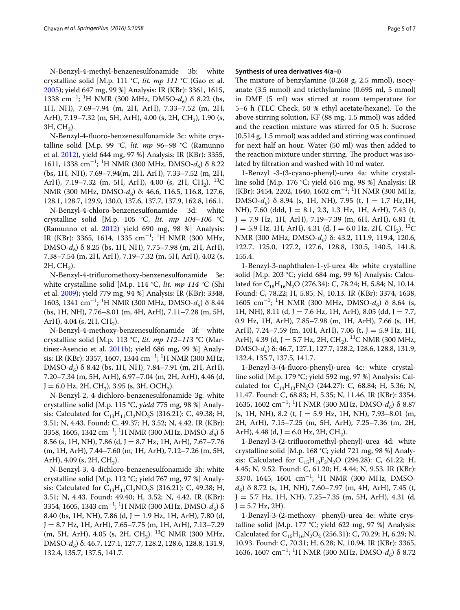N-Benzyl-4-methyl-benzenesulfonamide 3b: white crystalline solid [M.p. 111 °C, *lit. mp 111* °C (Gao et al. [2005](#page-5-12)); yield 647 mg, 99 %] Analysis: IR (KBr): 3361, 1615, 1338 cm<sup>−</sup><sup>1</sup> ; 1 H NMR (300 MHz, DMSO-*d6*) δ 8.22 (bs, 1H, NH), 7.69–7.94 (m, 2H, ArH), 7.33–7.52 (m, 2H, ArH), 7.19-7.32 (m, 5H, ArH), 4.00 (s, 2H, CH<sub>2</sub>), 1.90 (s,  $3H, CH<sub>3</sub>$ ).

N-Benzyl-4-fluoro-benzenesulfonamide 3c: white crystalline solid [M.p. 99 °C, *lit. mp 96*–*98* °C (Ramunno et al. [2012\)](#page-6-8), yield 644 mg, 97 %] Analysis: IR (KBr): 3355, 1611, 1338 cm<sup>−</sup><sup>1</sup> ; 1 H NMR (300 MHz, DMSO-*d6*) δ 8.22 (bs, 1H, NH), 7.69–7.94(m, 2H, ArH), 7.33–7.52 (m, 2H, ArH), 7.19–7.32 (m, 5H, ArH), 4.00 (s, 2H, CH<sub>2</sub>). <sup>13</sup>C NMR (300 MHz, DMSO-*d<sub>6</sub>*) δ: 46.6, 116.5, 116.8, 127.6, 128.1, 128.7, 129.9, 130.0, 137.6, 137.7, 137.9, 162.8, 166.1.

N-Benzyl-4-chloro-benzenesulfonamide 3d: white crystalline solid [M.p. 105 °C, *lit. mp 104*–*106* °C (Ramunno et al. [2012\)](#page-6-8) yield 690 mg, 98 %] Analysis: IR (KBr): 3365, 1614, 1335 cm−<sup>1</sup> ; 1 H NMR (300 MHz, DMSO-*d6*) δ 8.25 (bs, 1H, NH), 7.75–7.98 (m, 2H, ArH), 7.38–7.54 (m, 2H, ArH), 7.19–7.32 (m, 5H, ArH), 4.02 (s,  $2H, CH<sub>2</sub>$ ).

N-Benzyl-4-trifluromethoxy-benzenesulfonamide 3e: white crystalline solid [M.p. 114 °C, *lit. mp 114* °C (Shi et al. [2009\)](#page-6-11); yield 779 mg, 94 %] Analysis: IR (KBr): 3348, 1603, 1341 cm−<sup>1</sup> ; 1 H NMR (300 MHz, DMSO-*d6*) δ 8.44 (bs, 1H, NH), 7.76–8.01 (m, 4H, ArH), 7.11–7.28 (m, 5H, ArH),  $4.04$  (s,  $2H$ , CH<sub>2</sub>).

N-Benzyl-4-methoxy-benzenesulfonamide 3f: white crystalline solid [M.p. 113 °C, *lit. mp 112*–*113* °C (Martínez-Asencio et al. [2011b](#page-6-12)); yield 686 mg, 99 %] Analysis: IR (KBr): 3357, 1607, 1344 cm<sup>-1</sup>; <sup>1</sup>H NMR (300 MHz, DMSO-*d6*) δ 8.42 (bs, 1H, NH), 7.84–7.91 (m, 2H, ArH), 7.20–7.34 (m, 5H, ArH), 6.97–7.04 (m, 2H, ArH), 4.46 (d,  $J = 6.0$  Hz, 2H, CH<sub>2</sub>), 3.95 (s, 3H, OCH<sub>3</sub>).

N-Benzyl-2, 4-dichloro-benzenesulfonamide 3g: white crystalline solid [M.p. 115 °C, *yield* 775 mg, 98 %] Analysis: Calculated for  $C_{13}H_{11}Cl_2NO_2S$  (316.21): C, 49.38; H, 3.51; N, 4.43. Found: C, 49.37; H, 3.52; N, 4.42. IR (KBr): 3358, 1605, 1342 cm<sup>−</sup><sup>1</sup> ; 1 H NMR (300 MHz, DMSO-*d6*) δ 8.56 (s, 1H, NH), 7.86 (d, J = 8.7 Hz, 1H, ArH), 7.67–7.76 (m, 1H, ArH), 7.44–7.60 (m, 1H, ArH), 7.12–7.26 (m, 5H, ArH), 4.09 (s, 2H,  $CH<sub>2</sub>$ ).

N-Benzyl-3, 4-dichloro-benzenesulfonamide 3h: white crystalline solid [M.p. 112 °C; yield 767 mg, 97 %] Analysis: Calculated for  $C_{13}H_{11}Cl_2NO_2S$  (316.21): C, 49.38; H, 3.51; N, 4.43. Found: 49.40; H, 3.52; N, 4.42. IR (KBr): 3354, 1605, 1343 cm<sup>−</sup><sup>1</sup> ; 1 H NMR (300 MHz, DMSO-*d6*) δ 8.40 (bs, 1H, NH), 7.86 (d, J = 1.9 Hz, 1H, ArH), 7.80 (d, J = 8.7 Hz, 1H, ArH), 7.65–7.75 (m, 1H, ArH), 7.13–7.29 (m, 5H, ArH), 4.05 (s, 2H, CH<sub>2</sub>). <sup>13</sup>C NMR (300 MHz, DMSO-*d6*) δ: 46.7, 127.1, 127.7, 128.2, 128.6, 128.8, 131.9, 132.4, 135.7, 137.5, 141.7.

## **Synthesis of urea derivatives 4(a–i)**

The mixture of benzylamine (0.268 g, 2.5 mmol), isocyanate (3.5 mmol) and triethylamine (0.695 ml, 5 mmol) in DMF (5 ml) was stirred at room temperature for 5–6 h (TLC Check, 50 % ethyl acetate/hexane). To the above stirring solution, KF (88 mg, 1.5 mmol) was added and the reaction mixture was stirred for 0.5 h. Sucrose (0.514 g, 1.5 mmol) was added and stirring was continued for next half an hour. Water (50 ml) was then added to the reaction mixture under stirring. The product was isolated by filtration and washed with 10 ml water.

1-Benzyl -3-(3-cyano-phenyl)-urea 4a: white crystalline solid [M.p. 176 °C; yield 616 mg, 98 %] Analysis: IR (KBr): 3454, 2202, 1640, 1602 cm<sup>−</sup><sup>1</sup> ; 1 H NMR (300 MHz, DMSO- $d_6$ ) δ 8.94 (s, 1H, NH), 7.95 (t, J = 1.7 Hz,1H, NH), 7.60 (ddd, J = 8.1, 2.3, 1.3 Hz, 1H, ArH), 7.43 (t,  $J = 7.9$  Hz, 1H, ArH),  $7.19-7.39$  (m, 6H, ArH), 6.81 (t,  $J = 5.9$  Hz, 1H, ArH), 4.31 (d,  $J = 6.0$  Hz, 2H, CH<sub>2</sub>). <sup>13</sup>C NMR (300 MHz, DMSO-d<sub>6</sub>) δ: 43.2, 111.9, 119.4, 120.6, 122.7, 125.0, 127.2, 127.6, 128.8, 130.5, 140.5, 141.8, 155.4.

1-Benzyl-3-naphthalen-1-yl-urea 4b: white crystalline solid [M.p. 203 °C; yield 684 mg, 99 %] Analysis: Calculated for  $C_{18}H_{16}N_2O$  (276.34): C, 78.24; H, 5.84; N, 10.14. Found: C, 78.22; H, 5.85; N, 10.13. IR (KBr): 3374, 1638, 1605 cm<sup>-1</sup>; <sup>1</sup>H NMR (300 MHz, DMSO-*d*<sub>6</sub>) δ 8.64 (s, 1H, NH), 8.11 (d, J = 7.6 Hz, 1H, ArH), 8.05 (dd, J = 7.7, 0.9 Hz, 1H, ArH), 7.85–7.98 (m, 1H, ArH), 7.66 (s, 1H, ArH), 7.24–7.59 (m, 10H, ArH), 7.06 (t, J = 5.9 Hz, 1H, ArH), 4.39 (d, J = 5.7 Hz, 2H, CH<sub>2</sub>). <sup>13</sup>C NMR (300 MHz, DMSO-*d6*) δ: 46.7, 127.1, 127.7, 128.2, 128.6, 128.8, 131.9, 132.4, 135.7, 137.5, 141.7.

1-Benzyl-3-(4-fluoro-phenyl)-urea 4c: white crystalline solid [M.p. 179 °C; yield 592 mg, 97 %] Analysis: Calculated for  $C_{14}H_{13}FN_2O$  (244.27): C, 68.84; H, 5.36; N, 11.47. Found: C, 68.83; H, 5.35; N, 11.46. IR (KBr): 3354, 1635, 1602 cm−<sup>1</sup> ; 1 H NMR (300 MHz, DMSO-*d6*) δ 8.87  $(s, 1H, NH)$ , 8.2  $(t, J = 5.9$  Hz, 1H, NH $)$ , 7.93–8.01  $(m,$ 2H, ArH), 7.15–7.25 (m, 5H, ArH), 7.25–7.36 (m, 2H, ArH), 4.48 (d, J = 6.0 Hz, 2H, CH<sub>2</sub>).

1-Benzyl-3-(2-trifluoromethyl-phenyl)-urea 4d: white crystalline solid [M.p. 168 °C; yield 721 mg, 98 %] Analysis: Calculated for  $C_{15}H_{13}F_3N_2O$  (294.28): C, 61.22; H, 4.45; N, 9.52. Found: C, 61.20; H, 4.44; N, 9.53. IR (KBr): 3370, 1645, 1601 cm<sup>-1</sup>; <sup>1</sup>H NMR (300 MHz, DMSO*d6*) δ 8.72 (s, 1H, NH), 7.60–7.97 (m, 4H, ArH), 7.45 (t,  $J = 5.7$  Hz, 1H, NH), 7.25–7.35 (m, 5H, ArH), 4.31 (d,  $J = 5.7$  Hz, 2H).

1-Benzyl-3-(2-methoxy- phenyl)-urea 4e: white crystalline solid [M.p. 177 °C; yield 622 mg, 97 %] Analysis: Calculated for  $C_{15}H_{16}N_2O_2$  (256.31): C, 70.29; H, 6.29; N, 10.93. Found: C, 70.31; H, 6.28; N, 10.94. IR (KBr): 3365, 1636, 1607 cm<sup>−</sup><sup>1</sup> ; 1 H NMR (300 MHz, DMSO-*d6*) δ 8.72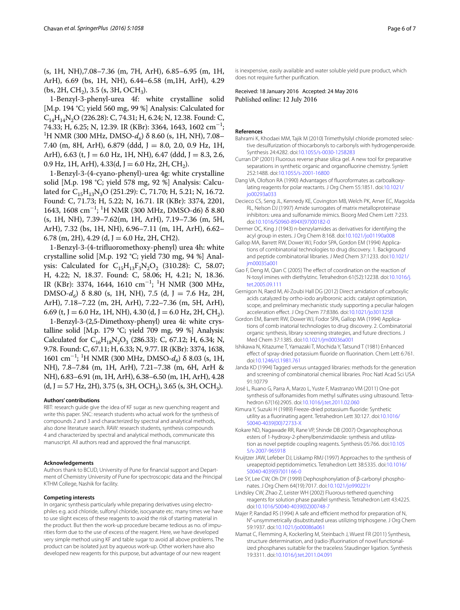(s, 1H, NH),7.08–7.36 (m, 7H, ArH), 6.85–6.95 (m, 1H, ArH), 6.69 (bs, 1H, NH), 6.44–6.58 (m,1H, ArH), 4.29  $(bs, 2H, CH<sub>2</sub>), 3.5 (s, 3H, OCH<sub>3</sub>).$ 

1-Benzyl-3-phenyl-urea 4f: white crystalline solid [M.p. 194 °C; yield 560 mg, 99 %] Analysis: Calculated for  $C_{14}H_{14}N_2O$  (226.28): C, 74.31; H, 6.24; N, 12.38. Found: C, 74.33; H, 6.25; N, 12.39. IR (KBr): 3364, 1643, 1602 cm<sup>−1</sup>;<br><sup>1</sup>H NMR (300 MH7, DMSO-*d* .) δ 8 60 (s. 1H, NH), 7.08− <sup>1</sup>H NMR (300 MHz, DMSO- $d_6$ ) δ 8.60 (s, 1H, NH), 7.08– 7.40 (m, 8H, ArH), 6.879 (ddd, J = 8.0, 2.0, 0.9 Hz, 1H, ArH), 6.63 (t, J = 6.0 Hz, 1H, NH), 6.47 (ddd, J = 8.3, 2.6, 0.9 Hz, 1H, ArH),  $4.33(d, J = 6.0$  Hz, 2H, CH<sub>2</sub>).

1-Benzyl-3-(4-cyano-phenyl)-urea 4g: white crystalline solid [M.p. 198 °C; yield 578 mg, 92 %] Analysis: Calculated for  $C_{15}H_{13}N_3O$  (251.29): C, 71.70; H, 5.21; N, 16.72. Found: C, 71.73; H, 5.22; N, 16.71. IR (KBr): 3374, 2201, 1643, 1608 cm<sup>−</sup><sup>1</sup> ; 1 H NMR (300 MHz, DMSO-d6) δ 8.80 (s, 1H, NH), 7.39–7.62(m, 1H, ArH), 7.19–7.36 (m, 5H, ArH), 7.32 (bs, 1H, NH), 6.96–7.11 (m, 1H, ArH), 6.62– 6.78 (m, 2H), 4.29 (d, J = 6.0 Hz, 2H, CH2).

1-Benzyl-3-(4-trifluoromethoxy-phenyl) urea 4h: white crystalline solid [M.p. 192 °C; yield 730 mg, 94 %] Analysis: Calculated for  $C_{15}H_{13}F_3N_2O_2$  (310.28): C, 58.07; H, 4.22; N, 18.37. Found: C, 58.06; H, 4.21; N, 18.36. IR (KBr): 3374, 1644, 1610 cm−<sup>1</sup> ; 1 H NMR (300 MHz, DMSO- $d_6$ ) δ 8.80 (s, 1H, NH), 7.5 (d, J = 7.6 Hz, 2H, ArH), 7.18–7.22 (m, 2H, ArH), 7.22–7.36 (m, 5H, ArH), 6.69 (t, J = 6.0 Hz, 1H, NH), 4.30 (d, J = 6.0 Hz, 2H, CH<sub>2</sub>).

1-Benzyl-3-(2,5-Dimethoxy-phenyl) urea 4i: white crystalline solid [M.p. 179 °C; yield 709 mg, 99 %] Analysis: Calculated for  $C_{16}H_{18}N_2O_3$  (286.33): C, 67.12; H, 6.34; N, 9.78. Found: C, 67.11; H, 6.33; N, 9.77. IR (KBr): 3374, 1638, 1601 cm−<sup>1</sup> ; 1 H NMR (300 MHz, DMSO-*d6*) δ 8.03 (s, 1H, NH), 7.8–7.84 (m, 1H, ArH), 7.21–7.38 (m, 6H, ArH & NH), 6.83–6.91 (m, 1H, ArH), 6.38–6.50 (m, 1H, ArH), 4.28  $(d, J = 5.7 \text{ Hz}, 2\text{H}), 3.75 \text{ (s, 3H, OCH}_3), 3.65 \text{ (s, 3H, OCH}_3).$ 

#### **Authors' contributions**

RBT: research guide give the idea of KF sugar as new quenching reagent and write this paper. SNC: research students who actual work for the synthesis of compounds 2 and 3 and characterized by spectral and analytical methods, also done literature search. RAW: research students, synthesis compounds 4 and characterized by spectral and analytical methods, communicate this manuscript. All authors read and approved the final manuscript.

#### **Acknowledgements**

Authors thank to BCUD, University of Pune for financial support and Department of Chemistry University of Pune for spectroscopic data and the Principal KTHM College, Nashik for facility.

#### **Competing interests**

In organic synthesis particularly while preparing derivatives using electrophiles e.g. acid chloride, sulfonyl chloride, isocyanate etc. many times we have to use slight excess of these reagents to avoid the risk of starting material in the product. But then the work-up procedure became tedious as no. of impurities form due to the use of excess of the reagent. Here, we have developed very simple method using KF and table sugar to avoid all above problems. The product can be isolated just by aqueous work-up. Other workers have also developed new reagents for this purpose, but advantage of our new reagent

is inexpensive, easily available and water soluble yield pure product, which does not require further purification.

Received: 18 January 2016 Accepted: 24 May 2016 Published online: 12 July 2016

#### **References**

- <span id="page-5-16"></span>Bahrami K, Khodaei MM, Tajik M (2010) Trimethylsilyl chloride promoted selective desulfurization of thiocarbonyls to carbonyls with hydrogenperoxide. Synthesis 24:4282. doi[:10.1055/s-0030-1258283](http://dx.doi.org/10.1055/s-0030-1258283)
- <span id="page-5-7"></span>Curran DP (2001) Fluorous reverse phase silica gel. A new tool for preparative separations in synthetic organic and organofluorine chemistry. Synlett 252:1488. doi:[10.1055/s-2001-16800](http://dx.doi.org/10.1055/s-2001-16800)
- <span id="page-5-10"></span>Dang VA, Olofson RA (1990) Advantages of fluoroformates as carboalkoxylating reagents for polar reactants. J Org Chem 55:1851. doi[:10.1021/](http://dx.doi.org/10.1021/jo00293a033) [jo00293a033](http://dx.doi.org/10.1021/jo00293a033)
- <span id="page-5-5"></span>Decieco CS, Seng JL, Kennedy KE, Covington MB, Welch PK, Arner EC, Magolda RL, Nelson DJ (1997) Amide surrogates of matrix metalloproteinase inhibitors: urea and sulfonamide mimics. Bioorg Med Chem Lett 7:233. doi:[10.1016/S0960-894X\(97\)00182-0](http://dx.doi.org/10.1016/S0960-894X(97)00182-0)
- <span id="page-5-14"></span>Dermer OC, King J (1943) n-benzylamides as derivatives for identifying the acyl group in esters. J Org Chem 8:168. doi[:10.1021/jo01190a008](http://dx.doi.org/10.1021/jo01190a008)
- <span id="page-5-0"></span>Gallop MA, Barrett RW, Dower WJ, Fodor SPA, Gordon EM (1994) Applications of combinatorial technologies to drug discovery. 1. Background and peptide combinatorial libraries. J Med Chem 37:1233. doi:[10.1021/](http://dx.doi.org/10.1021/jm00035a001) [jm00035a001](http://dx.doi.org/10.1021/jm00035a001)
- <span id="page-5-12"></span>Gao F, Deng M, Qian C (2005) The effect of coordination on the reaction of N-tosyl imines with diethylzinc. Tetrahedron 61(52):12238. doi:[10.1016/j.](http://dx.doi.org/10.1016/j.tet.2005.09.111) [tet.2005.09.111](http://dx.doi.org/10.1016/j.tet.2005.09.111)
- <span id="page-5-15"></span>Gernigon N, Raed M, Al-Zoubi Hall DG (2012) Direct amidation of carboxylic acids catalyzed by ortho-iodo arylboronic acids: catalyst optimization, scope, and preliminary mechanistic study supporting a peculiar halogen acceleration effect. J Org Chem 77:8386. doi:[10.1021/jo3013258](http://dx.doi.org/10.1021/jo3013258)
- <span id="page-5-1"></span>Gordon EM, Barrett RW, Dower WJ, Fodor SPA, Gallop MA (1994) Applications of comb inatorial technologies to drug discovery. 2. Combinatorial organic synthesis, library screening strategies, and future directions. J Med Chem 37:1385. doi:[10.1021/jm00036a001](http://dx.doi.org/10.1021/jm00036a001)
- <span id="page-5-8"></span>Ishikawa N, Kitazume T, Yamazaki T, Mochida Y, Tatsund T (1981) Enhanced effect of spray-dried potassium fluoride on fluorination. Chem Lett 6:761. doi:[10.1246/cl.1981.761](http://dx.doi.org/10.1246/cl.1981.761)
- <span id="page-5-2"></span>Janda KD (1994) Tagged versus untagged libraries: methods for the generation and screening of combinatorial chemical libraries. Proc Natl Acad Sci USA 91:10779
- <span id="page-5-11"></span>José L, Ruano G, Parra A, Marzo L, Yuste F, Mastranzo VM (2011) One-pot synthesis of sulfonamides from methyl sulfinates using ultrasound. Tetrahedron 67(16):2905. doi:[10.1016/j.tet.2011.02.060](http://dx.doi.org/10.1016/j.tet.2011.02.060)
- <span id="page-5-9"></span>Kimura Y, Suzuki H (1989) Freeze-dried potassium fluoride: Synthetic utility as a fluorinating agent. Tetrahedron Lett 30:127. doi[:10.1016/](http://dx.doi.org/10.1016/S0040-4039(00)72733-X) [S0040-4039\(00\)72733-X](http://dx.doi.org/10.1016/S0040-4039(00)72733-X)
- <span id="page-5-17"></span>Kokare ND, Nagawade RR, Rane VP, Shinde DB (2007) Organophosphorus esters of 1-hydroxy-2-phenylbenzimidazole: synthesis and utilization as novel peptide coupling reagents. Synthesis 05:766. doi:[10.105](http://dx.doi.org/10.1055/s-2007-965918) [5/s-2007-965918](http://dx.doi.org/10.1055/s-2007-965918)
- <span id="page-5-4"></span>Kruijtzer JAW, Lefeber DJ, Liskamp RMJ (1997) Approaches to the synthesis of ureapeptoid peptidomimetics. Tetrahedron Lett 38:5335. doi:[10.1016/](http://dx.doi.org/10.1016/S0040-4039(97)01166-0) [S0040-4039\(97\)01166-0](http://dx.doi.org/10.1016/S0040-4039(97)01166-0)
- <span id="page-5-18"></span>Lee SY, Lee CW, Oh DY (1999) Dephosphonylation of β-carbonyl phosphonates. J Org Chem 64(19):7017. doi[:10.1021/jo990221r](http://dx.doi.org/10.1021/jo990221r)
- <span id="page-5-6"></span>Lindsley CW, Zhao Z, Leister WH (2002) Fluorous-tethered quenching reagents for solution phase parallel synthesis. Tetrahedron Lett 43:4225. doi:[10.1016/S0040-4039\(02\)00748-7](http://dx.doi.org/10.1016/S0040-4039(02)00748-7)
- <span id="page-5-3"></span>Majer P, Randad RS (1994) A safe and efficient method for preparation of N, N′-unsymmetrically disubstituted ureas utilizing triphosgene. J Org Chem 59:1937. doi:[10.1021/jo00086a061](http://dx.doi.org/10.1021/jo00086a061)
- <span id="page-5-13"></span>Mamat C, Flemming A, Kockerling M, Steinbach J, Wuest FR (2011) Synthesis, structure determination, and (radio-)fluorination of novel functionalized phosphanes suitable for the traceless Staudinger ligation. Synthesis 19:3311. doi:[10.1016/j.tet.2011.04.091](http://dx.doi.org/10.1016/j.tet.2011.04.091)